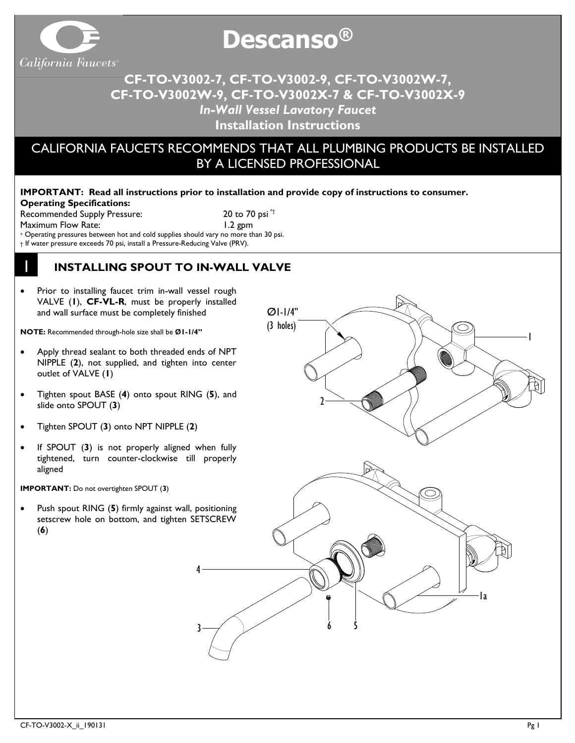

# **Descanso ®**

# **CF-TO-V3002-7, CF-TO-V3002-9, CF-TO-V3002W-7, CF-TO-V3002W-9, CF-TO-V3002X-7 & CF-TO-V3002X-9** *In-Wall Vessel Lavatory Faucet* **Installation Instructions**

# CALIFORNIA FAUCETS RECOMMENDS THAT ALL PLUMBING PRODUCTS BE INSTALLED BY A LICENSED PROFESSIONAL

#### **IMPORTANT: Read all instructions prior to installation and provide copy of instructions to consumer. Operating Specifications:**

Recommended Supply Pressure: 20 to 70 psi<sup>\*†</sup> Maximum Flow Rate: 1.2 gpm

1

\* Operating pressures between hot and cold supplies should vary no more than 30 psi.

† If water pressure exceeds 70 psi, install a Pressure-Reducing Valve (PRV).

### **INSTALLING SPOUT TO IN-WALL VALVE**

Prior to installing faucet trim in-wall vessel rough VALVE (**1**), **CF-VL-R**, must be properly installed and wall surface must be completely finished

**NOTE:** Recommended through-hole size shall be **Ø1-1/4"**

- Apply thread sealant to both threaded ends of NPT NIPPLE (**2**), not supplied, and tighten into center outlet of VALVE (**1**)
- Tighten spout BASE (**4**) onto spout RING (**5**), and slide onto SPOUT (**3**)
- Tighten SPOUT (**3**) onto NPT NIPPLE (**2**)
- If SPOUT (3) is not properly aligned when fully tightened, turn counter-clockwise till properly aligned

**IMPORTANT:** Do not overtighten SPOUT (**3**)

• Push spout RING (**5**) firmly against wall, positioning setscrew hole on bottom, and tighten SETSCREW (**6**)

4

3